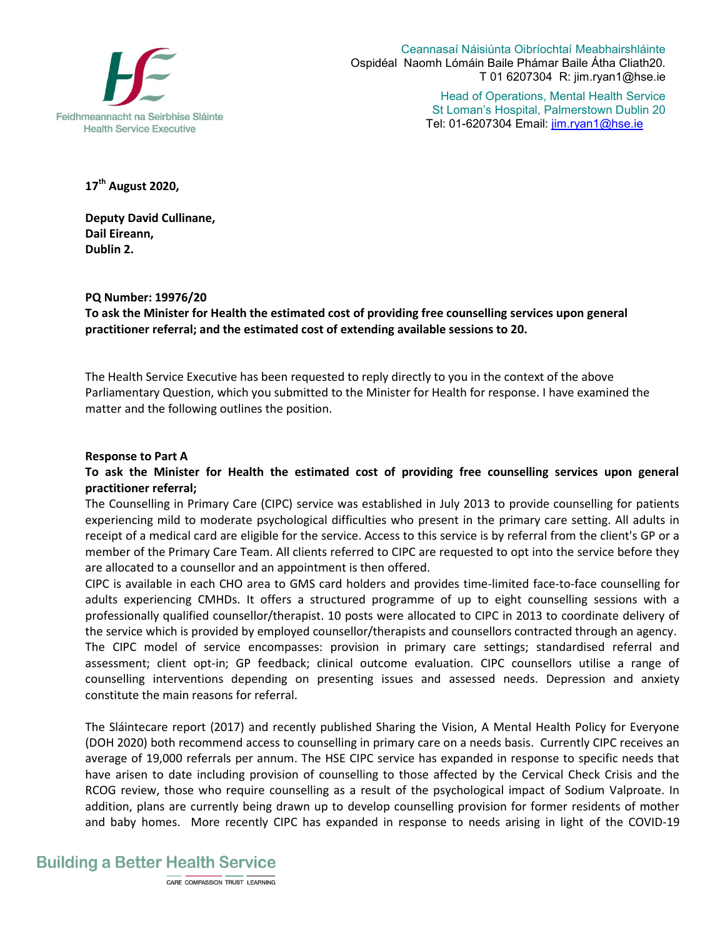

Ceannasaí Náisiúnta Oibríochtaí Meabhairshláinte Ospidéal Naomh Lómáin Baile Phámar Baile Átha Cliath20. T 01 6207304 R: jim.ryan1@hse.ie

> Head of Operations, Mental Health Service St Loman's Hospital, Palmerstown Dublin 20 Tel: 01-6207304 Email: jim.ryan1@hse.ie

**17 th August 2020,** 

**Deputy David Cullinane, Dail Eireann, Dublin 2.** 

# **PQ Number: 19976/20**

**To ask the Minister for Health the estimated cost of providing free counselling services upon general practitioner referral; and the estimated cost of extending available sessions to 20.** 

The Health Service Executive has been requested to reply directly to you in the context of the above Parliamentary Question, which you submitted to the Minister for Health for response. I have examined the matter and the following outlines the position.

### **Response to Part A**

**To ask the Minister for Health the estimated cost of providing free counselling services upon general practitioner referral;** 

The Counselling in Primary Care (CIPC) service was established in July 2013 to provide counselling for patients experiencing mild to moderate psychological difficulties who present in the primary care setting. All adults in receipt of a medical card are eligible for the service. Access to this service is by referral from the client's GP or a member of the Primary Care Team. All clients referred to CIPC are requested to opt into the service before they are allocated to a counsellor and an appointment is then offered.

CIPC is available in each CHO area to GMS card holders and provides time-limited face-to-face counselling for adults experiencing CMHDs. It offers a structured programme of up to eight counselling sessions with a professionally qualified counsellor/therapist. 10 posts were allocated to CIPC in 2013 to coordinate delivery of the service which is provided by employed counsellor/therapists and counsellors contracted through an agency. The CIPC model of service encompasses: provision in primary care settings; standardised referral and assessment; client opt-in; GP feedback; clinical outcome evaluation. CIPC counsellors utilise a range of counselling interventions depending on presenting issues and assessed needs. Depression and anxiety constitute the main reasons for referral.

The Sláintecare report (2017) and recently published Sharing the Vision, A Mental Health Policy for Everyone (DOH 2020) both recommend access to counselling in primary care on a needs basis. Currently CIPC receives an average of 19,000 referrals per annum. The HSE CIPC service has expanded in response to specific needs that have arisen to date including provision of counselling to those affected by the Cervical Check Crisis and the RCOG review, those who require counselling as a result of the psychological impact of Sodium Valproate. In addition, plans are currently being drawn up to develop counselling provision for former residents of mother and baby homes. More recently CIPC has expanded in response to needs arising in light of the COVID-19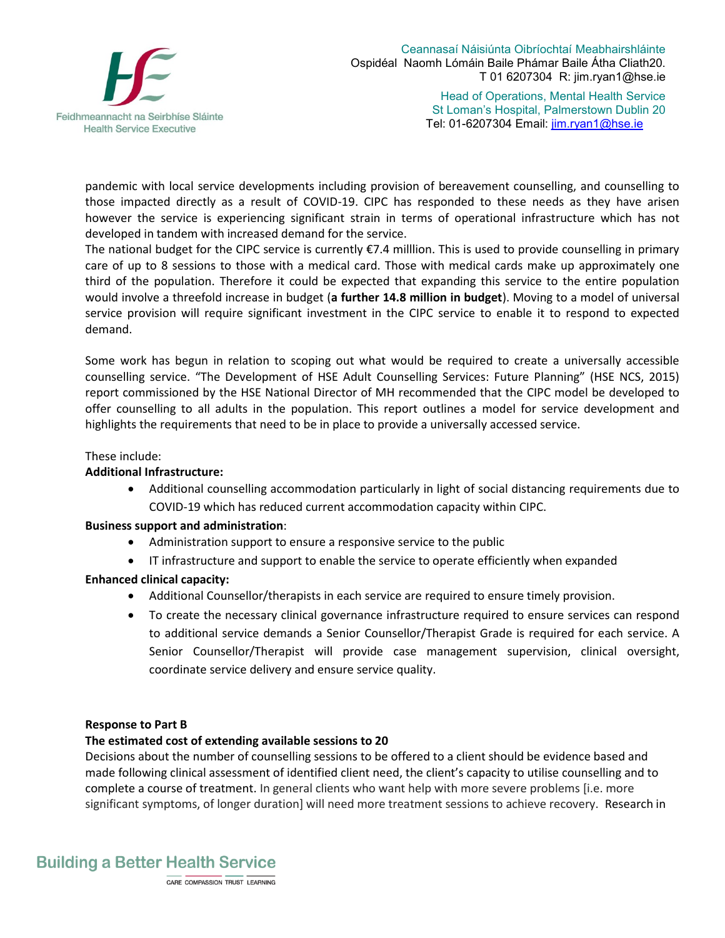

Ceannasaí Náisiúnta Oibríochtaí Meabhairshláinte Ospidéal Naomh Lómáin Baile Phámar Baile Átha Cliath20. T 01 6207304 R: jim.ryan1@hse.ie

> Head of Operations, Mental Health Service St Loman's Hospital, Palmerstown Dublin 20 Tel: 01-6207304 Email: jim.ryan1@hse.ie

pandemic with local service developments including provision of bereavement counselling, and counselling to those impacted directly as a result of COVID-19. CIPC has responded to these needs as they have arisen however the service is experiencing significant strain in terms of operational infrastructure which has not developed in tandem with increased demand for the service.

The national budget for the CIPC service is currently €7.4 milllion. This is used to provide counselling in primary care of up to 8 sessions to those with a medical card. Those with medical cards make up approximately one third of the population. Therefore it could be expected that expanding this service to the entire population would involve a threefold increase in budget (**a further 14.8 million in budget**). Moving to a model of universal service provision will require significant investment in the CIPC service to enable it to respond to expected demand.

Some work has begun in relation to scoping out what would be required to create a universally accessible counselling service. "The Development of HSE Adult Counselling Services: Future Planning" (HSE NCS, 2015) report commissioned by the HSE National Director of MH recommended that the CIPC model be developed to offer counselling to all adults in the population. This report outlines a model for service development and highlights the requirements that need to be in place to provide a universally accessed service.

# These include:

### **Additional Infrastructure:**

 Additional counselling accommodation particularly in light of social distancing requirements due to COVID-19 which has reduced current accommodation capacity within CIPC.

#### **Business support and administration**:

- Administration support to ensure a responsive service to the public
- IT infrastructure and support to enable the service to operate efficiently when expanded

# **Enhanced clinical capacity:**

- Additional Counsellor/therapists in each service are required to ensure timely provision.
- To create the necessary clinical governance infrastructure required to ensure services can respond to additional service demands a Senior Counsellor/Therapist Grade is required for each service. A Senior Counsellor/Therapist will provide case management supervision, clinical oversight, coordinate service delivery and ensure service quality.

#### **Response to Part B**

# **The estimated cost of extending available sessions to 20**

Decisions about the number of counselling sessions to be offered to a client should be evidence based and made following clinical assessment of identified client need, the client's capacity to utilise counselling and to complete a course of treatment. In general clients who want help with more severe problems [i.e. more significant symptoms, of longer duration] will need more treatment sessions to achieve recovery. Research in